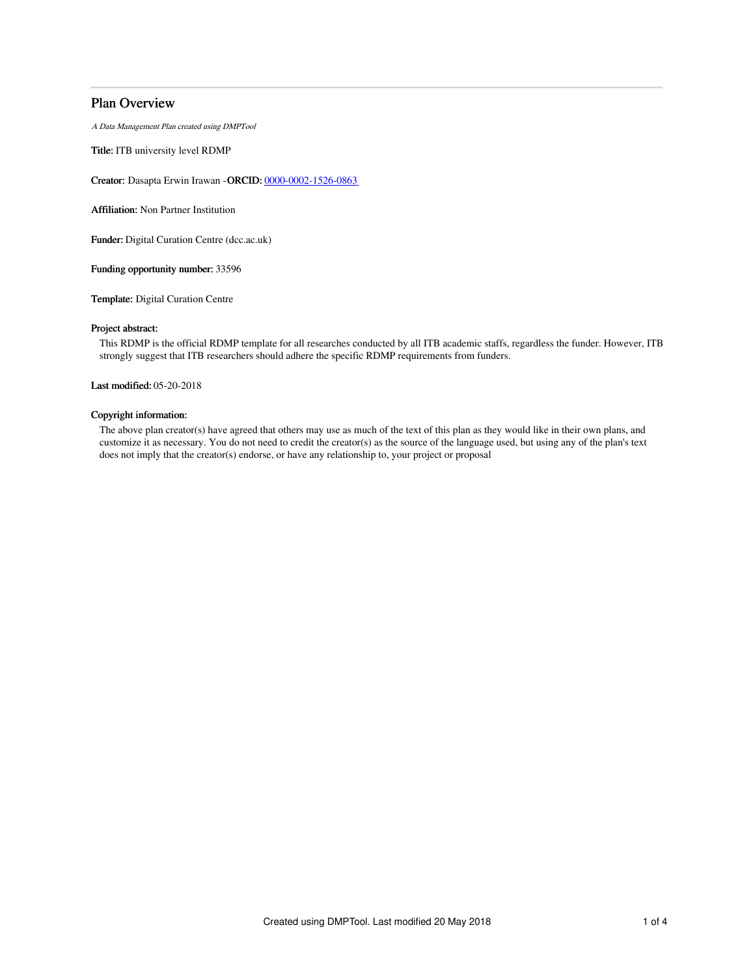# Plan Overview

A Data Management Plan created using DMPTool

Title: ITB university level RDMP

Creator: Dasapta Erwin Irawan -ORCID: [0000-0002-1526-0863](https://orcid.org/0000-0002-1526-0863)

Affiliation: Non Partner Institution

Funder: Digital Curation Centre (dcc.ac.uk)

Funding opportunity number: 33596

Template: Digital Curation Centre

# Project abstract:

This RDMP is the official RDMP template for all researches conducted by all ITB academic staffs, regardless the funder. However, ITB strongly suggest that ITB researchers should adhere the specific RDMP requirements from funders.

Last modified: 05-20-2018

# Copyright information:

The above plan creator(s) have agreed that others may use as much of the text of this plan as they would like in their own plans, and customize it as necessary. You do not need to credit the creator(s) as the source of the language used, but using any of the plan's text does not imply that the creator(s) endorse, or have any relationship to, your project or proposal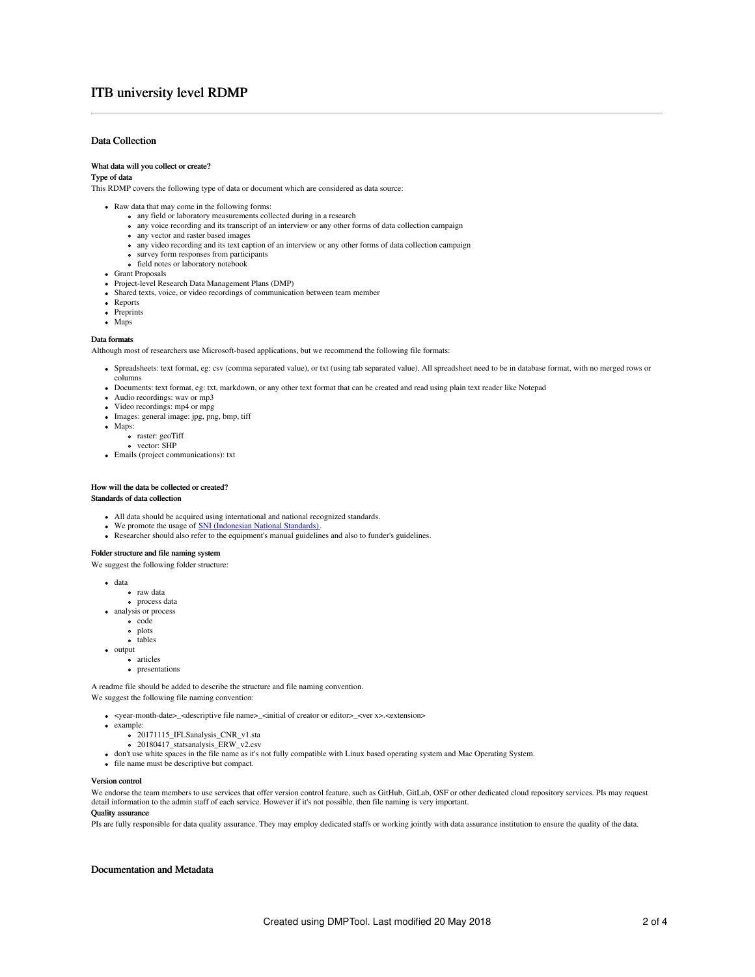# ITB university level RDMP

# Data Collection

#### What data will you collect or create?

# Type of data

This RDMP covers the following type of data or document which are considered as data source:

- Raw data that may come in the following forms:
	- any field or laboratory measurements collected during in a research
		- any voice recording and its transcript of an interview or any other forms of data collection campaign
	- any vector and raster based images
	- any video recording and its text caption of an interview or any other forms of data collection campaign
	- survey form responses from participants • field notes or laboratory notebook
- 
- Grant Proposals
- Project-level Research Data Management Plans (DMP)
- Shared texts, voice, or video recordings of communication between team member
- Reports
- Preprints
- Maps

### Data formats

Although most of researchers use Microsoft-based applications, but we recommend the following file formats:

- Spreadsheets: text format, eg: csv (comma separated value), or txt (using tab separated value). All spreadsheet need to be in database format, with no merged rows or
- columns Documents: text format, eg: txt, markdown, or any other text format that can be created and read using plain text reader like Notepad
- Audio recordings: wav or mp3
- Video recordings: mp4 or mpg
- Images: general image: jpg, png, bmp, tiff
- Maps:
	- raster: geoTiff
	- o vector: SHP
- Emails (project communications): txt

### How will the data be collected or created?

# Standards of data collection

- All data should be acquired using international and national recognized standards.
- We promote the usage of **SNI** [\(Indonesian](http://www.bsn.go.id/main/sni/isi_sni/20115/tentang-sni) National Standards).
- Researcher should also refer to the equipment's manual guidelines and also to funder's guidelines.

### Folder structure and file naming system

We suggest the following folder structure:

- data
	- raw data
- process data analysis or process
	- · code
		- plots
		- tables
- $\bullet$  output
	- articles
	- **•** presentations

A readme file should be added to describe the structure and file naming convention. We suggest the following file naming convention:

- <year-month-date>\_<descriptive file name>\_<initial of creator or editor>\_<ver x>.<extension>
- example:
	- 20171115\_IFLSanalysis\_CNR\_v1.sta
	- 20180417\_statsanalysis\_ERW\_v2.csv
- don't use white spaces in the file name as it's not fully compatible with Linux based operating system and Mac Operating System.
- $\bullet$  file name must be descriptive but compact.

#### Version control

We endorse the team members to use services that offer version control feature, such as GitHub, GitLab, OSF or other dedicated cloud repository services. PIs may request detail information to the admin staff of each service. However if it's not possible, then file naming is very important.

## Quality assurance

PIs are fully responsible for data quality assurance. They may employ dedicated staffs or working jointly with data assurance institution to ensure the quality of the data.

# Documentation and Metadata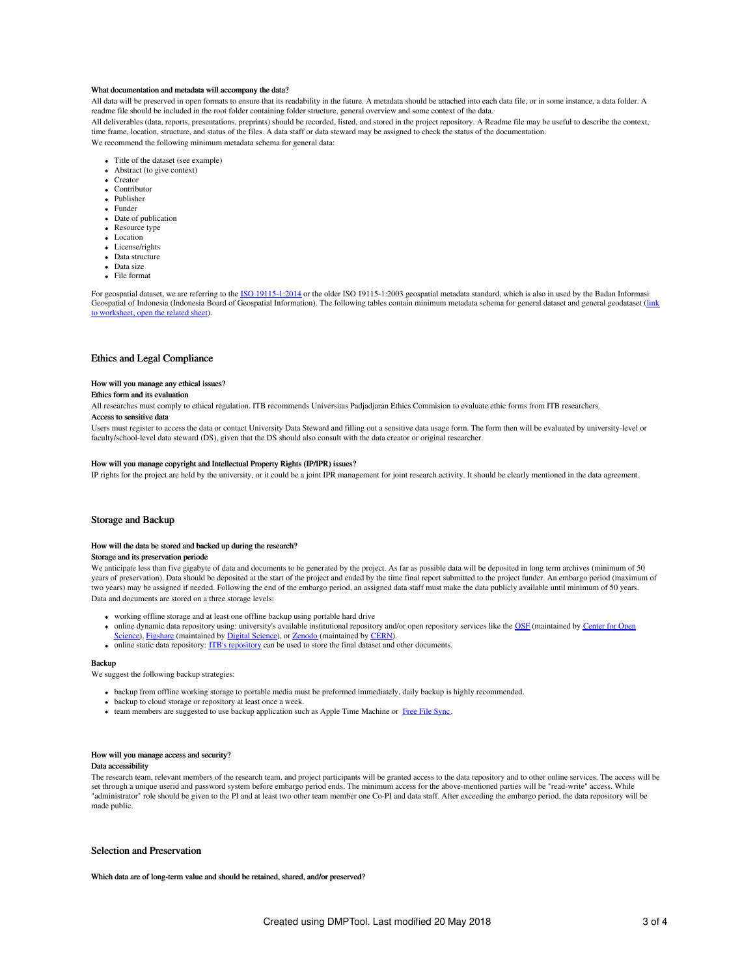#### What documentation and metadata will accompany the data?

All data will be preserved in open formats to ensure that its readability in the future. A metadata should be attached into each data file, or in some instance, a data folder. A readme file should be included in the root folder containing folder structure, general overview and some context of the data.

All deliverables (data, reports, presentations, preprints) should be recorded, listed, and stored in the project repository. A Readme file may be useful to describe the context, time frame, location, structure, and status of the files. A data staff or data steward may be assigned to check the status of the documentation. We recommend the following minimum metadata schema for general data:

- Title of the dataset (see example) Abstract (to give context)
- Creator
- Contributor
- Publisher
- Funder
- Date of publication
- Resource type
- Location
- License/rights
- Data structure
- Data size
- File format

For geospatial dataset, we are referring to the ISO [19115-1:2014](https://www.iso.org/standard/53798.html) or the older ISO 19115-1:2003 geospatial metadata standard, which is also in used by the Badan Informasi Geospatial of Indonesia (Indonesia Board of Geospatial [Information\).](https://docs.google.com/spreadsheets/d/1L2jyIILIIEBuhyFpOREyYZOolx0tn0jkiZNsrCa4Y6M/edit?usp=sharing) The following tables contain minimum metadata schema for general dataset and general geodataset (link to worksheet, open the related sheet).

# Ethics and Legal Compliance

### How will you manage any ethical issues?

#### Ethics form and its evaluation

All researches must comply to ethical regulation. ITB recommends Universitas Padjadjaran Ethics Commision to evaluate ethic forms from ITB researchers.

# Access to sensitive data

Users must register to access the data or contact University Data Steward and filling out a sensitive data usage form. The form then will be evaluated by university-level or faculty/school-level data steward (DS), given that the DS should also consult with the data creator or original researcher.

### How will you manage copyright and Intellectual Property Rights (IP/IPR) issues?

IP rights for the project are held by the university, or it could be a joint IPR management for joint research activity. It should be clearly mentioned in the data agreement.

# Storage and Backup

#### How will the data be stored and backed up during the research?

### Storage and its preservation periode

We anticipate less than five gigabyte of data and documents to be generated by the project. As far as possible data will be deposited in long term archives (minimum of 50 years of preservation). Data should be deposited at the start of the project and ended by the time final report submitted to the project funder. An embargo period (maximum of two years) may be assigned if needed. Following the end of the embargo period, an assigned data staff must make the data publicly available until minimum of 50 years. Data and documents are stored on a three storage levels:

- working offline storage and at least one offline backup using portable hard drive
- online dynamic data repository using: university's available [institutional](http://cos.io) repository and/or open repository services like the [OSF](http://osf.io) (maintained by Center for Open
- Science), [Figshare](http://figshare.com) (maintained by Digital [Science](https://www.digital-science.com/)), or [Zenodo](http://zenodo.org) (maintained by [CERN](https://home.cern/)).<br>online static data [repository](file:////tmp/eprints.itb.ac.id): <u>ITB's repository</u> can be used to store the final dataset and other documents.

#### Backup

We suggest the following backup strategies:

- backup from offline working storage to portable media must be preformed immediately, daily backup is highly recommended.
- backup to cloud storage or repository at least once a week.
- team members are suggested to use backup application such as Apple Time Machine or Free File [Sync](https://freefilesync.org).

# How will you manage access and security?

# Data accessibility

The research team, relevant members of the research team, and project participants will be granted access to the data repository and to other online services. The access will be set through a unique userid and password system before embargo period ends. The minimum access for the above-mentioned parties will be "read-write" access. While "administrator" role should be given to the PI and at least two other team member one Co-PI and data staff. After exceeding the embargo period, the data repository will be made public.

# Selection and Preservation

Which data are of long-term value and should be retained, shared, and/or preserved?